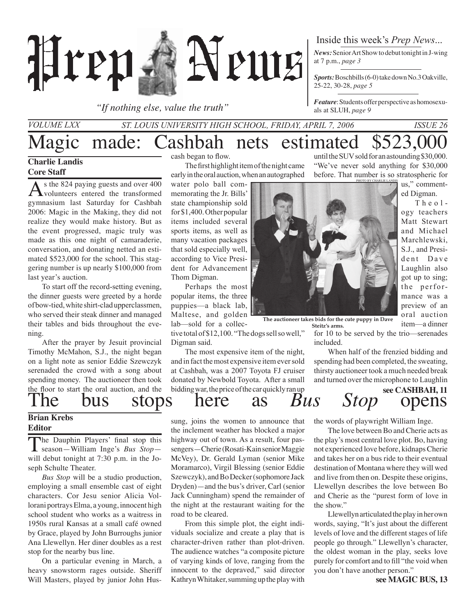

*"If nothing else, value the truth"*

Inside this week's *Prep News*...

*News:* Senior Art Show to debut tonight in J-wing at 7 p.m., *page 3*

*Sports:* Boschbills (6-0) take down No.3 Oakville, 25-22, 30-28, *page 5*

*Feature*: Students offer perspective as homosexuals at SLUH, *page 9*

*St. Louis University High School, Friday, April 7, 2006 Issue 26 Volume LXX*

# Magic made: Cashbah nets estimated \$523,00

### **Charlie Landis Core Staff**

As the 824 paying guests and over 400 volunteers entered the transformed gymnasium last Saturday for Cashbah 2006: Magic in the Making, they did not realize they would make history. But as the event progressed, magic truly was made as this one night of camaraderie, conversation, and donating netted an estimated \$523,000 for the school. This staggering number is up nearly \$100,000 from last year's auction.

To start off the record-setting evening, the dinner guests were greeted by a horde of bow-tied, white shirt-clad upperclassmen, who served their steak dinner and managed their tables and bids throughout the evening.

After the prayer by Jesuit provincial Timothy McMahon, S.J., the night began on a light note as senior Eddie Szewczyk serenaded the crowd with a song about spending money. The auctioneer then took the floor to start the oral auction, and the The bus stops here as *Bus Stop* opens

### **Brian Krebs Editor**

The Dauphin Players' final stop this season—William Inge's *Bus Stop* will debut tonight at 7:30 p.m. in the Joseph Schulte Theater.

*Bus Stop* will be a studio production, employing a small ensemble cast of eight characters. Cor Jesu senior Alicia Vollorani portrays Elma, a young, innocent high school student who works as a waitress in 1950s rural Kansas at a small café owned by Grace, played by John Burroughs junior Ana Llewellyn. Her diner doubles as a rest stop for the nearby bus line.

On a particular evening in March, a heavy snowstorm rages outside. Sheriff Will Masters, played by junior John Huscash began to flow.

The first highlight item of the night came early in the oral auction, when an autographed

water polo ball commemorating the Jr. Bills' state championship sold for \$1,400. Other popular items included several sports items, as well as many vacation packages that sold especially well, according to Vice President for Advancement Thom Digman.

Perhaps the most popular items, the three puppies—a black lab, Maltese, and golden lab—sold for a collec-

tive total of \$12,100. "The dogs sell so well," Digman said.

The most expensive item of the night, and in fact the most expensive item ever sold at Cashbah, was a 2007 Toyota FJ cruiser donated by Newbold Toyota. After a small bidding war, the price of the car quickly ran up

sung, joins the women to announce that the inclement weather has blocked a major highway out of town. As a result, four passengers—Cherie (Rosati-Kain senior Maggie McVey), Dr. Gerald Lyman (senior Mike Moramarco), Virgil Blessing (senior Eddie Szewczyk), and Bo Decker (sophomore Jack Dryden)—and the bus's driver, Carl (senior Jack Cunningham) spend the remainder of the night at the restaurant waiting for the road to be cleared.

From this simple plot, the eight individuals socialize and create a play that is character-driven rather than plot-driven. The audience watches "a composite picture of varying kinds of love, ranging from the innocent to the depraved," said director Kathryn Whitaker, summing up the play with

until the SUV sold for an astounding \$30,000. "We've never sold anything for \$30,000 before. That number is so stratospheric for photo by Charlie Landis

us," commented Digman.

 T h e o l ogy teachers Matt Stewart and Michael Marchlewski, S.J., and President Dave Laughlin also got up to sing; the performance was a preview of an oral auction item—a dinner

see CASHBAH, 11<br>O**pens** 

**The auctioneer takes bids for the cute puppy in Dave Steitz's arms.**

for 10 to be served by the trio—serenades included.

 When half of the frenzied bidding and spending had been completed, the sweating, thirsty auctioneer took a much needed break and turned over the microphone to Laughlin

the words of playwright William Inge.

The love between Bo and Cherie acts as the play's most central love plot. Bo, having not experienced love before, kidnaps Cherie and takes her on a bus ride to their eventual destination of Montana where they will wed and live from then on. Despite these origins, Llewellyn describes the love between Bo and Cherie as the "purest form of love in the show."

Llewellyn articulated the play in her own words, saying, "It's just about the different levels of love and the different stages of life people go through." Llewellyn's character, the oldest woman in the play, seeks love purely for comfort and to fill "the void when you don't have another person."

**see MAGIC BUS, 13**

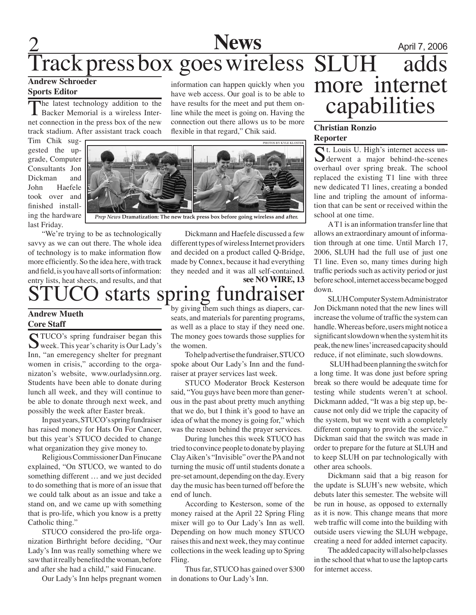# 2 **News** April 7, 2006 Track press box goes wireless

### **Andrew Schroeder Sports Editor**

The latest technology addition to the **L** Backer Memorial is a wireless Internet connection in the press box of the new track stadium. After assistant track coach

Tim Chik suggested the upgrade, Computer Consultants Jon Dickman and John Haefele took over and finished installing the hardware last Friday.

"We're trying to be as technologically savvy as we can out there. The whole idea of technology is to make information flow more efficiently. So the idea here, with track and field, is you have all sorts of information: entry lists, heat sheets, and results, and that

### starts spring fundraiser

### **Andrew Mueth Core Staff**

STUCO's spring fundraiser began this<br>week. This year's charity is Our Lady's Inn, "an emeregency shelter for pregnant women in crisis," according to the organizaton's website, www.ourladysinn.org. Students have been able to donate during lunch all week, and they will continue to be able to donate through next week, and possibly the week after Easter break.

In past years, STUCO's spring fundraiser has raised money for Hats On For Cancer, but this year's STUCO decided to change what organization they give money to.

Religious Commissioner Dan Finucane explained, "On STUCO, we wanted to do something different … and we just decided to do something that is more of an issue that we could talk about as an issue and take a stand on, and we came up with something that is pro-life, which you know is a pretty Catholic thing."

STUCO considered the pro-life organization Birthright before deciding, "Our Lady's Inn was really something where we saw that it really benefited the woman, before and after she had a child," said Finucane.

Our Lady's Inn helps pregnant women

information can happen quickly when you have web access. Our goal is to be able to have results for the meet and put them online while the meet is going on. Having the connection out there allows us to be more flexible in that regard," Chik said.



Dickmann and Haefele discussed a few different types of wireless Internet providers and decided on a product called Q-Bridge, made by Connex, because it had everything they needed and it was all self-contained. **see NO WIRE, 13**

by giving them such things as diapers, carseats, and materials for parenting programs, as well as a place to stay if they need one. The money goes towards those supplies for the women.

To help advertise the fundraiser, STUCO spoke about Our Lady's Inn and the fundraiser at prayer services last week.

STUCO Moderator Brock Kesterson said, "You guys have been more than generous in the past about pretty much anything that we do, but I think it's good to have an idea of what the money is going for," which was the reason behind the prayer services.

During lunches this week STUCO has tried to convince people to donate by playing Clay Aiken's "Invisible" over the PA and not turning the music off until students donate a pre-set amount, depending on the day. Every day the music has been turned off before the end of lunch.

According to Kesterson, some of the money raised at the April 22 Spring Fling mixer will go to Our Lady's Inn as well. Depending on how much money STUCO raises this and next week, they may continue collections in the week leading up to Spring Fling.

Thus far, STUCO has gained over \$300 in donations to Our Lady's Inn.

# SLUH adds more internet capabilities

### **Christian Ronzio Reporter**

St. Louis U. High's internet access un-derwent a major behind-the-scenes overhaul over spring break. The school replaced the existing T1 line with three new dedicated T1 lines, creating a bonded line and tripling the amount of information that can be sent or received within the school at one time.

A T1 is an information transfer line that allows an extraordinary amount of information through at one time. Until March 17, 2006, SLUH had the full use of just one T1 line. Even so, many times during high traffic periods such as activity period or just before school, internet access became bogged down.

SLUH Computer System Administrator Jon Dickmann noted that the new lines will increase the volume of traffic the system can handle. Whereas before, users might notice a significant slowdown when the system hit its peak, the new lines' increased capacity should reduce, if not eliminate, such slowdowns.

 SLUH had been planning the switch for a long time. It was done just before spring break so there would be adequate time for testing while students weren't at school. Dickmann added, "It was a big step up, because not only did we triple the capacity of the system, but we went with a completely different company to provide the service." Dickman said that the switch was made in order to prepare for the future at SLUH and to keep SLUH on par technologically with other area schools.

Dickmann said that a big reason for the update is SLUH's new website, which debuts later this semester. The website will be run in house, as opposed to externally as it is now. This change means that more web traffic will come into the building with outside users viewing the SLUH webpage, creating a need for added internet capacity.

The added capacity will also help classes in the school that what to use the laptop carts for internet access.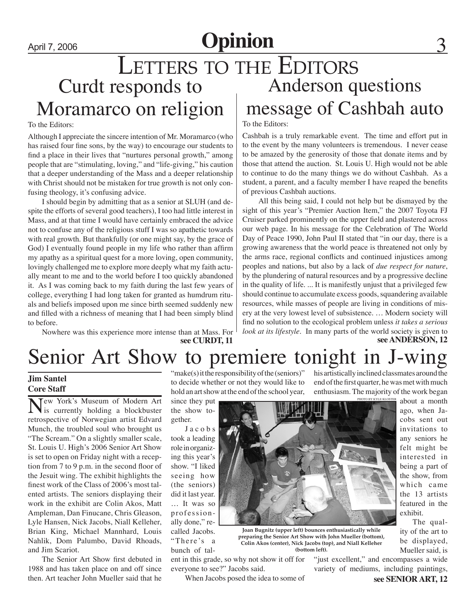# April 7, 2006 **Opinion**

### Curdt responds to Moramarco on religion LETTERS TO THE EDITORS Anderson questions message of Cashbah auto

#### To the Editors:

Although I appreciate the sincere intention of Mr. Moramarco (who has raised four fine sons, by the way) to encourage our students to find a place in their lives that "nurtures personal growth," among people that are "stimulating, loving," and "life-giving," his caution that a deeper understanding of the Mass and a deeper relationship with Christ should not be mistaken for true growth is not only confusing theology, it's confusing advice.

I should begin by admitting that as a senior at SLUH (and despite the efforts of several good teachers), I too had little interest in Mass, and at that time I would have certainly embraced the advice not to confuse any of the religious stuff I was so apathetic towards with real growth. But thankfully (or one might say, by the grace of God) I eventually found people in my life who rather than affirm my apathy as a spiritual quest for a more loving, open community, lovingly challenged me to explore more deeply what my faith actually meant to me and to the world before I too quickly abandoned it. As I was coming back to my faith during the last few years of college, everything I had long taken for granted as humdrum rituals and beliefs imposed upon me since birth seemed suddenly new and filled with a richness of meaning that I had been simply blind to before.

Nowhere was this experience more intense than at Mass. For<br>see CURDT, 11

### To the Editors:

Cashbah is a truly remarkable event. The time and effort put in to the event by the many volunteers is tremendous. I never cease to be amazed by the generosity of those that donate items and by those that attend the auction. St. Louis U. High would not be able to continue to do the many things we do without Cashbah. As a student, a parent, and a faculty member I have reaped the benefits of previous Cashbah auctions.

 All this being said, I could not help but be dismayed by the sight of this year's "Premier Auction Item," the 2007 Toyota FJ Cruiser parked prominently on the upper field and plastered across our web page. In his message for the Celebration of The World Day of Peace 1990, John Paul II stated that "in our day, there is a growing awareness that the world peace is threatened not only by the arms race, regional conflicts and continued injustices among peoples and nations, but also by a lack of *due respect for nature*, by the plundering of natural resources and by a progressive decline in the quality of life. ... It is manifestly unjust that a privileged few should continue to accumulate excess goods, squandering available resources, while masses of people are living in conditions of misery at the very lowest level of subsistence. … Modern society will find no solution to the ecological problem unless *it takes a serious look at its lifestyle*. In many parts of the world society is given to **see ANDERSON, 12** 

# Senior Art Show to premiere tonight

### **Jim Santel Core Staff**

Tew York's Museum of Modern Art is currently holding a blockbuster retrospective of Norwegian artist Edvard Munch, the troubled soul who brought us "The Scream." On a slightly smaller scale, St. Louis U. High's 2006 Senior Art Show is set to open on Friday night with a reception from 7 to 9 p.m. in the second floor of the Jesuit wing. The exhibit highlights the finest work of the Class of 2006's most talented artists. The seniors displaying their work in the exhibit are Colin Akos, Matt Ampleman, Dan Finucane, Chris Gleason, Lyle Hansen, Nick Jacobs, Niall Kelleher, Brian King, Michael Mannhard, Louis Nahlik, Dom Palumbo, David Rhoads, and Jim Scariot.

The Senior Art Show first debuted in 1988 and has taken place on and off since then. Art teacher John Mueller said that he

"make(s) it the responsibility of the (seniors)" to decide whether or not they would like to hold an art show at the end of the school year,

since they put the show together.

J a c o b s took a leading role in organizing this year's show. "I liked seeing how (the seniors) did it last year. … It was so professionally done," recalled Jacobs. "There's a bunch of talphoto by Kyle Kl

his artistically inclined classmates around the end of the first quarter, he was met with much enthusiasm. The majority of the work began about a month



**preparing the Senior Art Show with John Mueller (bottom), Colin Akos (center), Nick Jacobs (top), and Niall Kelleher (bottom left).**

ent in this grade, so why not show it off for everyone to see?" Jacobs said.

When Jacobs posed the idea to some of

"just excellent," and encompasses a wide variety of mediums, including paintings,

ago, when Jacobs sent out invitations to any seniors he felt might be interested in being a part of the show, from which came the 13 artists featured in the exhibit.

 The quality of the art to be displayed, Mueller said, is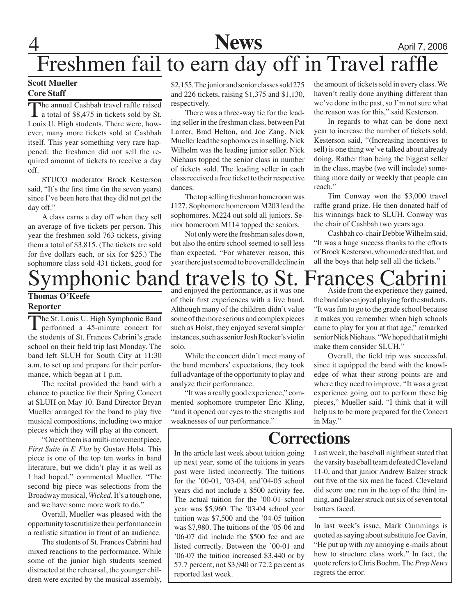# 4 **News** April 7, 2006 Freshmen fail to earn day off in Travel raffle

### **Scott Mueller Core Staff**

The annual Cashbah travel raffle raised  $\blacksquare$  a total of \$8,475 in tickets sold by St. Louis U. High students. There were, however, many more tickets sold at Cashbah itself. This year something very rare happened: the freshmen did not sell the required amount of tickets to receive a day off.

STUCO moderator Brock Kesterson said, "It's the first time (in the seven years) since I've been here that they did not get the day off."

A class earns a day off when they sell an average of five tickets per person. This year the freshmen sold 763 tickets, giving them a total of \$3,815. (The tickets are sold for five dollars each, or six for \$25.) The sophomore class sold 431 tickets, good for

\$2,155. The junior and senior classes sold 275 and 226 tickets, raising \$1,375 and \$1,130, respectively.

There was a three-way tie for the leading seller in the freshman class, between Pat Lanter, Brad Helton, and Joe Zang. Nick Mueller lead the sophomores in selling. Nick Wilhelm was the leading junior seller. Nick Niehaus topped the senior class in number of tickets sold. The leading seller in each class received a free ticket to their respective dances.

The top selling freshman homeroom was J127. Sophomore homeroom M203 lead the sophomores. M224 out sold all juniors. Senior homeroom M114 topped the seniors.

Not only were the freshman sales down, but also the entire school seemed to sell less than expected. "For whatever reason, this year there just seemed to be overall decline in the amount of tickets sold in every class. We haven't really done anything different than we've done in the past, so I'm not sure what the reason was for this," said Kesterson.

In regards to what can be done next year to increase the number of tickets sold, Kesterson said, "(Increasing incentives to sell) is one thing we've talked about already doing. Rather than being the biggest seller in the class, maybe (we will include) something more daily or weekly that people can reach."

Tim Conway won the \$3,000 travel raffle grand prize. He then donated half of his winnings back to SLUH. Conway was the chair of Cashbah two years ago.

Cashbah co-chair Debbie Wilhelm said, "It was a huge success thanks to the efforts of Brock Kesterson, who moderated that, and all the boys that help sell all the tickets."

### honic band travels to St. Frances Cabrini **Thomas O'Keefe Reporter**

The St. Louis U. High Symphonic Band **L** performed a 45-minute concert for the students of St. Frances Cabrini's grade school on their field trip last Monday. The band left SLUH for South City at 11:30 a.m. to set up and prepare for their performance, which began at 1 p.m.

The recital provided the band with a chance to practice for their Spring Concert at SLUH on May 10. Band Director Bryan Mueller arranged for the band to play five musical compositions, including two major pieces which they will play at the concert.

"One of them is a multi-movement piece, *First Suite in E Flat* by Gustav Holst. This piece is one of the top ten works in band literature, but we didn't play it as well as I had hoped," commented Mueller. "The second big piece was selections from the Broadway musical, *Wicked*. It's a tough one, and we have some more work to do."

Overall, Mueller was pleased with the opportunity to scrutinize their performance in a realistic situation in front of an audience.

The students of St. Frances Cabrini had mixed reactions to the performance. While some of the junior high students seemed distracted at the rehearsal, the younger children were excited by the musical assembly, and enjoyed the performance, as it was one of their first experiences with a live band. Although many of the children didn't value some of the more serious and complex pieces such as Holst, they enjoyed several simpler instances, such as senior Josh Rocker's violin solo.

While the concert didn't meet many of the band members' expectations, they took full advantage of the opportunity to play and analyze their performance.

"It was a really good experience," commented sophomore trumpeter Eric Kling, "and it opened our eyes to the strengths and weaknesses of our performance."

Aside from the experience they gained, the band also enjoyed playing for the students. "It was fun to go to the grade school because it makes you remember when high schools came to play for you at that age," remarked senior Nick Niehaus. "We hoped that it might make them consider SLUH."

Overall, the field trip was successful, since it equipped the band with the knowledge of what their strong points are and where they need to improve. "It was a great experience going out to perform these big pieces," Mueller said. "I think that it will help us to be more prepared for the Concert in May."

### **Corrections**

In the article last week about tuition going up next year, some of the tuitions in years past were listed incorrectly. The tuitions for the '00-01, '03-04, and'04-05 school years did not include a \$500 activity fee. The actual tuition for the '00-01 school year was \$5,960. The '03-04 school year tuition was \$7,500 and the '04-05 tuition was \$7,980. The tuitions of the '05-06 and '06-07 did include the \$500 fee and are listed correctly. Between the '00-01 and '06-07 the tuition increased \$3,440 or by 57.7 percent, not \$3,940 or 72.2 percent as reported last week.

Last week, the baseball nightbeat stated that the varsity baseball team defeated Cleveland 11-0, and that junior Andrew Balzer struck out five of the six men he faced. Cleveland did score one run in the top of the third inning, and Balzer struck out six of seven total batters faced.

In last week's issue, Mark Cummings is quoted as saying about substitute Joe Gavin, "He put up with my annoying e-mails about how to structure class work." In fact, the quote refers to Chris Boehm. The *Prep News* regrets the error.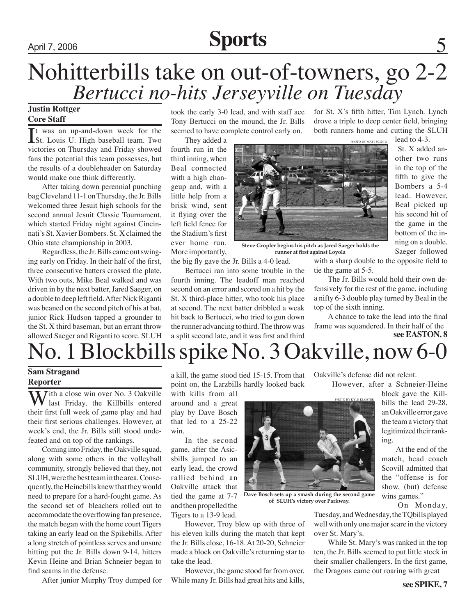# April 7, 2006 **Sports** 5

# Nohitterbills take on out-of-towners, go 2-2 *Bertucci no-hits Jerseyville on Tuesday*

### **Justin Rottger Core Staff**

It was an up-and-down week for the<br>St. Louis U. High baseball team. Two t was an up-and-down week for the victories on Thursday and Friday showed fans the potential this team possesses, but the results of a doubleheader on Saturday would make one think differently.

After taking down perennial punching bag Cleveland 11-1 on Thursday, the Jr. Bills welcomed three Jesuit high schools for the second annual Jesuit Classic Tournament, which started Friday night against Cincinnati's St. Xavier Bombers. St. X claimed the Ohio state championship in 2003.

Regardless, the Jr. Bills came out swinging early on Friday. In their half of the first, three consecutive batters crossed the plate. With two outs, Mike Beal walked and was driven in by the next batter, Jared Saeger, on a double to deep left field. After Nick Riganti was beaned on the second pitch of his at bat, junior Rick Hudson tapped a grounder to the St. X third baseman, but an errant throw allowed Saeger and Riganti to score. SLUH

took the early 3-0 lead, and with staff ace Tony Bertucci on the mound, the Jr. Bills seemed to have complete control early on.

They added a fourth run in the third inning, when Beal connected with a high changeup and, with a little help from a brisk wind, sent it flying over the left field fence for the Stadium's first ever home run. More importantly,

the big fly gave the Jr. Bills a 4-0 lead.

Bertucci ran into some trouble in the fourth inning. The leadoff man reached second on an error and scored on a hit by the St. X third-place hitter, who took his place at second. The next batter dribbled a weak hit back to Bertucci, who tried to gun down the runner advancing to third. The throw was a split second late, and it was first and third

for St. X's fifth hitter, Tim Lynch. Lynch drove a triple to deep center field, bringing both runners home and cutting the SLUH

PHOTO BY MATT S

**Steve Gropler begins his pitch as Jared Saeger holds the runner at first against Loyola**

> with a sharp double to the opposite field to tie the game at 5-5.

> The Jr. Bills would hold their own defensively for the rest of the game, including a nifty 6-3 double play turned by Beal in the top of the sixth inning.

> A chance to take the lead into the final frame was squandered. In their half of the

**see EASTON, 8**

# No. 1 Blockbills spike No. 3 Oakville, now 6-0

### **Sam Stragand Reporter**

**Tith a close win over No. 3 Oakville** last Friday, the Killbills entered their first full week of game play and had their first serious challenges. However, at week's end, the Jr. Bills still stood undefeated and on top of the rankings.

Coming into Friday, the Oakville squad, along with some others in the volleyball community, strongly believed that they, not SLUH, were the best team in the area. Consequently, the Heinebills knew that they would need to prepare for a hard-fought game. As the second set of bleachers rolled out to accommodate the overflowing fan presence, the match began with the home court Tigers taking an early lead on the Spikebills. After a long stretch of pointless serves and unsure hitting put the Jr. Bills down 9-14, hitters Kevin Heine and Brian Schneier began to find seams in the defense.

After junior Murphy Troy dumped for

a kill, the game stood tied 15-15. From that point on, the Larzbills hardly looked back

with kills from all around and a great play by Dave Bosch that led to a 25-22 win.

In the second game, after the Asicsbills jumped to an early lead, the crowd rallied behind an Oakville attack that tied the game at 7-7 and then propelled the Tigers to a 13-9 lead.

However, Troy blew up with three of his eleven kills during the match that kept the Jr. Bills close, 16-18. At 20-20, Schneier made a block on Oakville's returning star to take the lead.

However, the game stood far from over. While many Jr. Bills had great hits and kills, Oakville's defense did not relent.

However, after a Schneier-Heine

block gave the Killbills the lead 29-28, an Oakville error gave the team a victory that legitimized their ranking.

 At the end of the match, head coach Scovill admitted that the "offense is for show, (but) defense wins games."

On Monday,

Tuesday, and Wednesday, the TQbills played well with only one major scare in the victory over St. Mary's.

While St. Mary's was ranked in the top ten, the Jr. Bills seemed to put little stock in their smaller challengers. In the first game, the Dragons came out roaring with great

lead to 4-3. St. X added another two runs in the top of the fifth to give the Bombers a 5-4 lead. However, Beal picked up his second hit of the game in the bottom of the inning on a double. Saeger followed



**Dave Bosch sets up a smash during the second game of SLUH's victory over Parkway.**

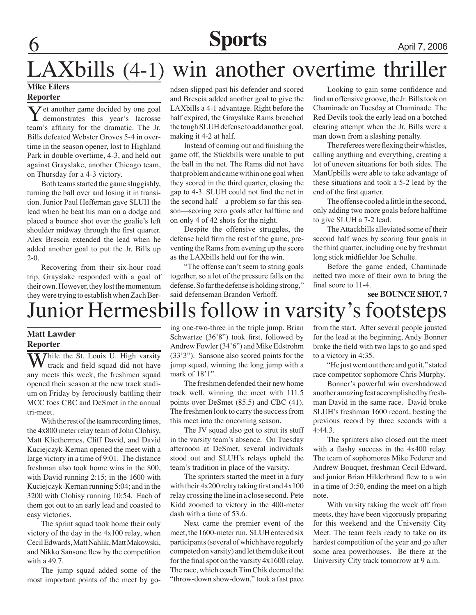# **6 Sports** April 7, 2006

# LAXbills (4-1) win another overtime thriller

### **Mike Eilers Reporter**

 $\sum_{\text{demonstrates}}$  this year's lacrosse team's affinity for the dramatic. The Jr. Bills defeated Webster Groves 5-4 in overtime in the season opener, lost to Highland Park in double overtime, 4-3, and held out against Grayslake, another Chicago team, on Thursday for a 4-3 victory.

Both teams started the game sluggishly, turning the ball over and losing it in transition. Junior Paul Heffernan gave SLUH the lead when he beat his man on a dodge and placed a bounce shot over the goalie's left shoulder midway through the first quarter. Alex Brescia extended the lead when he added another goal to put the Jr. Bills up 2-0.

Recovering from their six-hour road trip, Grayslake responded with a goal of their own. However, they lost the momentum they were trying to establish when Zach Berndsen slipped past his defender and scored and Brescia added another goal to give the LAXbills a 4-1 advantage. Right before the half expired, the Grayslake Rams breached the tough SLUH defense to add another goal, making it 4-2 at half.

Instead of coming out and finishing the game off, the Stickbills were unable to put the ball in the net. The Rams did not have that problem and came within one goal when they scored in the third quarter, closing the gap to 4-3. SLUH could not find the net in the second half—a problem so far this season—scoring zero goals after halftime and on only 4 of 42 shots for the night.

Despite the offensive struggles, the defense held firm the rest of the game, preventing the Rams from evening up the score as the LAXbills held out for the win.

"The offense can't seem to string goals together, so a lot of the pressure falls on the defense. So far the defense is holding strong," said defenseman Brandon Verhoff.

Looking to gain some confidence and find an offensive groove, the Jr. Bills took on Chaminade on Tuesday at Chaminade. The Red Devils took the early lead on a botched clearing attempt when the Jr. Bills were a man down from a slashing penalty.

The referees were flexing their whistles, calling anything and everything, creating a lot of uneven situations for both sides. The ManUpbills were able to take advantage of these situations and took a 5-2 lead by the end of the first quarter.

The offense cooled a little in the second, only adding two more goals before halftime to give SLUH a 7-2 lead.

The Attackbills alleviated some of their second half woes by scoring four goals in the third quarter, including one by freshman long stick midfielder Joe Schulte.

Before the game ended, Chaminade netted two more of their own to bring the final score to 11-4.

#### **see BOUNCE SHOT, 7**

# Junior Hermesbills follow in varsity's footsteps

### **Matt Lawder Reporter**

While the St. Louis U. High varsity track and field squad did not have any meets this week, the freshmen squad opened their season at the new track stadium on Friday by ferociously battling their MCC foes CBC and DeSmet in the annual tri-meet.

With the rest of the team recording times, the 4x800 meter relay team of John Clohisy, Matt Kliethermes, Cliff David, and David Kuciejczyk-Kernan opened the meet with a large victory in a time of 9:01. The distance freshman also took home wins in the 800, with David running 2:15; in the 1600 with Kuciejczyk-Kernan running 5:04; and in the 3200 with Clohisy running 10:54. Each of them got out to an early lead and coasted to easy victories.

The sprint squad took home their only victory of the day in the 4x100 relay, when Cecil Edwards, Matt Nahlik, Matt Makowski, and Nikko Sansone flew by the competition with a 49.7.

The jump squad added some of the most important points of the meet by going one-two-three in the triple jump. Brian Schwartze (36'8") took first, followed by Andrew Fowler (34'6") and Mike Edstrohm (33'3"). Sansone also scored points for the jump squad, winning the long jump with a mark of 18'1".

The freshmen defended their new home track well, winning the meet with 111.5 points over DeSmet (85.5) and CBC (41). The freshmen look to carry the success from this meet into the oncoming season.

The JV squad also got to strut its stuff in the varsity team's absence. On Tuesday afternoon at DeSmet, several individuals stood out and SLUH's relays upheld the team's tradition in place of the varsity.

The sprinters started the meet in a fury with their 4x200 relay taking first and 4x100 relay crossing the line in a close second. Pete Kidd zoomed to victory in the 400-meter dash with a time of 53.6.

Next came the premier event of the meet, the 1600-meter run. SLUH entered six participants (several of which have regularly competed on varsity) and let them duke it out for the final spot on the varsity 4x1600 relay. The race, which coach Tim Chik deemed the "throw-down show-down," took a fast pace from the start. After several people jousted for the lead at the beginning, Andy Bonner broke the field with two laps to go and sped to a victory in 4:35.

"He just went out there and got it," stated race competitor sophomore Chris Murphy.

Bonner's powerful win overshadowed another amazing feat accomplished by freshman David in the same race. David broke SLUH's freshman 1600 record, besting the previous record by three seconds with a 4:44.3.

The sprinters also closed out the meet with a flashy success in the 4x400 relay. The team of sophomores Mike Federer and Andrew Bouquet, freshman Cecil Edward, and junior Brian Hilderbrand flew to a win in a time of 3:50, ending the meet on a high note.

With varsity taking the week off from meets, they have been vigorously preparing for this weekend and the University City Meet. The team feels ready to take on its hardest competition of the year and go after some area powerhouses. Be there at the University City track tomorrow at 9 a.m.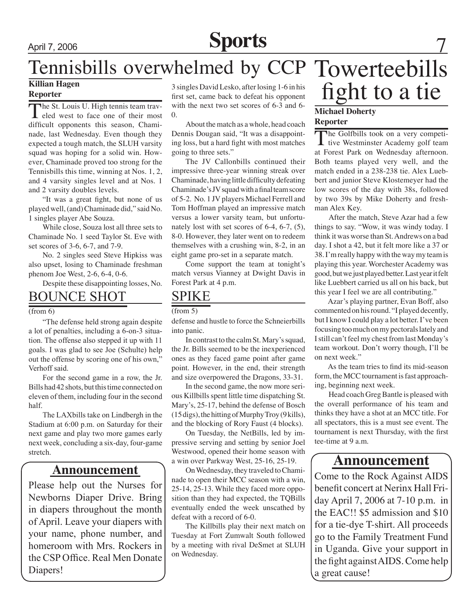# April 7, 2006 **Sports** 7

# Tennisbills overwhelmed by CCP Towerteebills

### **Reporter**

The St. Louis U. High tennis team traveled west to face one of their most difficult opponents this season, Chaminade, last Wednesday. Even though they expected a tough match, the SLUH varsity squad was hoping for a solid win. However, Chaminade proved too strong for the Tennisbills this time, winning at Nos. 1, 2, and 4 varsity singles level and at Nos. 1 and 2 varsity doubles levels.

"It was a great fight, but none of us played well, (and) Chaminade did," said No. 1 singles player Abe Souza.

While close, Souza lost all three sets to Chaminade No. 1 seed Taylor St. Eve with set scores of 3-6, 6-7, and 7-9.

No. 2 singles seed Steve Hipkiss was also upset, losing to Chaminade freshman phenom Joe West, 2-6, 6-4, 0-6.

Despite these disappointing losses, No.

### BOUNCE SHOT

### (from 6)

"The defense held strong again despite a lot of penalties, including a 6-on-3 situation. The offense also stepped it up with 11 goals. I was glad to see Joe (Schulte) help out the offense by scoring one of his own," Verhoff said.

For the second game in a row, the Jr. Bills had 42 shots, but this time connected on eleven of them, including four in the second half.

The LAXbills take on Lindbergh in the Stadium at 6:00 p.m. on Saturday for their next game and play two more games early next week, concluding a six-day, four-game

### **Announcement**

Please help out the Nurses for Newborns Diaper Drive. Bring in diapers throughout the month of April. Leave your diapers with your name, phone number, and homeroom with Mrs. Rockers in the CSP Office. Real Men Donate Diapers!

Killian Hagen 3 singles David Lesko, after losing 1-6 in his **fight to a tie** Reporter 3 singles David Lesko, after losing 1-6 in his first set, came back to defeat his opponent with the next two set scores of 6-3 and 6- 0.

> About the match as a whole, head coach Dennis Dougan said, "It was a disappointing loss, but a hard fight with most matches going to three sets."

> The JV Callonbills continued their impressive three-year winning streak over Chaminade, having little difficulty defeating Chaminade's JV squad with a final team score of 5-2. No. 1 JV players Michael Ferrell and Tom Hoffman played an impressive match versus a lower varsity team, but unfortunately lost with set scores of 6-4, 6-7, (5), 8-0. However, they later went on to redeem themselves with a crushing win, 8-2, in an eight game pro-set in a separate match.

> Come support the team at tonight's match versus Vianney at Dwight Davis in Forest Park at 4 p.m.

### SPIKE

#### (from 5)

defense and hustle to force the Schneierbills into panic.

In contrast to the calm St. Mary's squad, the Jr. Bills seemed to be the inexperienced ones as they faced game point after game point. However, in the end, their strength and size overpowered the Dragons, 33-31.

In the second game, the now more serious Killbills spent little time dispatching St. Mary's, 25-17, behind the defense of Bosch (15 digs), the hitting of Murphy Troy (9 kills), and the blocking of Rory Faust (4 blocks).

On Tuesday, the NetBills, led by impressive serving and setting by senior Joel Westwood, opened their home season with stretch.<br> **A** note across a streament a win over Parkway West, 25-16, 25-19.<br> **A** note a streament and a streament and a streament of the streament of the streament of the streament of the streament of the streament of the

On Wednesday, they traveled to Chaminade to open their MCC season with a win, 25-14, 25-13. While they faced more opposition than they had expected, the TQBills eventually ended the week unscathed by defeat with a record of 6-0.

The Killbills play their next match on Tuesday at Fort Zumwalt South followed by a meeting with rival DeSmet at SLUH on Wednesday.

### **Michael Doherty Reporter**

The Golfbills took on a very competi- $\mathbf I$  tive Westminster Academy golf team at Forest Park on Wednesday afternoon. Both teams played very well, and the match ended in a 238-238 tie. Alex Luebbert and junior Steve Klostemeyer had the low scores of the day with 38s, followed by two 39s by Mike Doherty and freshman Alex Key.

 After the match, Steve Azar had a few things to say. "Wow, it was windy today. I think it was worse than St. Andrews on a bad day. I shot a 42, but it felt more like a 37 or 38. I'm really happy with the way my team is playing this year. Worchester Academy was good, but we just played better. Last year it felt like Luebbert carried us all on his back, but this year I feel we are all contributing."

 Azar's playing partner, Evan Boff, also commented on his round. "I played decently, but I know I could play a lot better. I've been focusing too much on my pectorals lately and I still can't feel my chest from last Monday's team workout. Don't worry though, I'll be on next week."

 As the team tries to find its mid-season form, the MCC tournament is fast approaching, beginning next week.

Head coach Greg Bantle is pleased with the overall performance of his team and thinks they have a shot at an MCC title. For all spectators, this is a must see event. The tournament is next Thursday, with the first tee-time at 9 a.m.

Come to the Rock Against AIDS benefit concert at Nerinx Hall Friday April 7, 2006 at 7-10 p.m. in the EAC!! \$5 admission and \$10 for a tie-dye T-shirt. All proceeds go to the Family Treatment Fund in Uganda. Give your support in the fight against AIDS. Come help a great cause!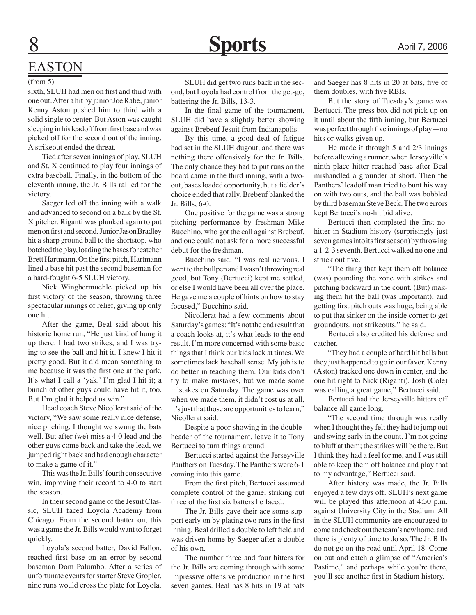### EASTON

#### (from 5)

sixth, SLUH had men on first and third with one out. After a hit by junior Joe Rabe, junior Kenny Aston pushed him to third with a solid single to center. But Aston was caught sleeping in his leadoff from first base and was picked off for the second out of the inning. A strikeout ended the threat.

Tied after seven innings of play, SLUH and St. X continued to play four innings of extra baseball. Finally, in the bottom of the eleventh inning, the Jr. Bills rallied for the victory.

Saeger led off the inning with a walk and advanced to second on a balk by the St. X pitcher. Riganti was plunked again to put men on first and second. Junior Jason Bradley hit a sharp ground ball to the shortstop, who botched the play, loading the bases for catcher Brett Hartmann. On the first pitch, Hartmann lined a base hit past the second baseman for a hard-fought 6-5 SLUH victory.

Nick Wingbermuehle picked up his first victory of the season, throwing three spectacular innings of relief, giving up only one hit.

After the game, Beal said about his historic home run, "He just kind of hung it up there. I had two strikes, and I was trying to see the ball and hit it. I knew I hit it pretty good. But it did mean something to me because it was the first one at the park. It's what I call a 'yak.' I'm glad I hit it; a bunch of other guys could have hit it, too. But I'm glad it helped us win."

Head coach Steve Nicollerat said of the victory, "We saw some really nice defense, nice pitching, I thought we swung the bats well. But after (we) miss a 4-0 lead and the other guys come back and take the lead, we jumped right back and had enough character to make a game of it."

This was the Jr. Bills' fourth consecutive win, improving their record to 4-0 to start the season.

In their second game of the Jesuit Classic, SLUH faced Loyola Academy from Chicago. From the second batter on, this was a game the Jr. Bills would want to forget quickly.

Loyola's second batter, David Fallon, reached first base on an error by second baseman Dom Palumbo. After a series of unfortunate events for starter Steve Gropler, nine runs would cross the plate for Loyola.

SLUH did get two runs back in the second, but Loyola had control from the get-go, battering the Jr. Bills, 13-3.

In the final game of the tournament, SLUH did have a slightly better showing against Brebeuf Jesuit from Indianapolis.

By this time, a good deal of fatigue had set in the SLUH dugout, and there was nothing there offensively for the Jr. Bills. The only chance they had to put runs on the board came in the third inning, with a twoout, bases loaded opportunity, but a fielder's choice ended that rally. Brebeuf blanked the Jr. Bills, 6-0.

One positive for the game was a strong pitching performance by freshman Mike Bucchino, who got the call against Brebeuf, and one could not ask for a more successful debut for the freshman.

Bucchino said, "I was real nervous. I went to the bullpen and I wasn't throwing real good, but Tony (Bertucci) kept me settled, or else I would have been all over the place. He gave me a couple of hints on how to stay focused," Bucchino said.

Nicollerat had a few comments about Saturday's games: "It's not the end result that a coach looks at, it's what leads to the end result. I'm more concerned with some basic things that I think our kids lack at times. We sometimes lack baseball sense. My job is to do better in teaching them. Our kids don't try to make mistakes, but we made some mistakes on Saturday. The game was over when we made them, it didn't cost us at all, it's just that those are opportunities to learn," Nicollerat said.

Despite a poor showing in the doubleheader of the tournament, leave it to Tony Bertucci to turn things around.

Bertucci started against the Jerseyville Panthers on Tuesday. The Panthers were 6-1 coming into this game.

From the first pitch, Bertucci assumed complete control of the game, striking out three of the first six batters he faced.

The Jr. Bills gave their ace some support early on by plating two runs in the first inning. Beal drilled a double to left field and was driven home by Saeger after a double of his own.

The number three and four hitters for the Jr. Bills are coming through with some impressive offensive production in the first seven games. Beal has 8 hits in 19 at bats

and Saeger has 8 hits in 20 at bats, five of them doubles, with five RBIs.

But the story of Tuesday's game was Bertucci. The press box did not pick up on it until about the fifth inning, but Bertucci was perfect through five innings of play—no hits or walks given up.

He made it through 5 and 2/3 innings before allowing a runner, when Jerseyville's ninth place hitter reached base after Beal mishandled a grounder at short. Then the Panthers' leadoff man tried to bunt his way on with two outs, and the ball was bobbled by third baseman Steve Beck. The two errors kept Bertucci's no-hit bid alive.

Bertucci then completed the first nohitter in Stadium history (surprisingly just seven games into its first season) by throwing a 1-2-3 seventh. Bertucci walked no one and struck out five.

"The thing that kept them off balance (was) pounding the zone with strikes and pitching backward in the count. (But) making them hit the ball (was important), and getting first pitch outs was huge, being able to put that sinker on the inside corner to get groundouts, not strikeouts," he said.

Bertucci also credited his defense and catcher.

"They had a couple of hard hit balls but they just happened to go in our favor. Kenny (Aston) tracked one down in center, and the one hit right to Nick (Riganti). Josh (Cole) was calling a great game," Bertucci said.

Bertucci had the Jerseyville hitters off balance all game long.

"The second time through was really when I thought they felt they had to jump out and swing early in the count. I'm not going to bluff at them; the strikes will be there. But I think they had a feel for me, and I was still able to keep them off balance and play that to my advantage," Bertucci said.

After history was made, the Jr. Bills enjoyed a few days off. SLUH's next game will be played this afternoon at 4:30 p.m. against University City in the Stadium. All in the SLUH community are encouraged to come and check out the team's new home, and there is plenty of time to do so. The Jr. Bills do not go on the road until April 18. Come on out and catch a glimpse of "America's Pastime," and perhaps while you're there, you'll see another first in Stadium history.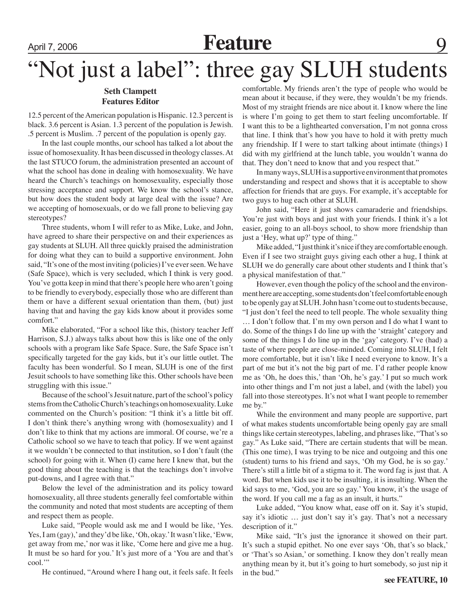# April 7, 2006 **Feature** 9 **Feature** 9 **Photo contains the SLUH** students

### **Seth Clampett Features Editor**

12.5 percent of the American population is Hispanic. 12.3 percent is black. 3.6 percent is Asian. 1.3 percent of the population is Jewish. .5 percent is Muslim. .7 percent of the population is openly gay.

In the last couple months, our school has talked a lot about the issue of homosexuality. It has been discussed in theology classes. At the last STUCO forum, the administration presented an account of what the school has done in dealing with homosexuality. We have heard the Church's teachings on homosexuality, especially those stressing acceptance and support. We know the school's stance, but how does the student body at large deal with the issue? Are we accepting of homosexuals, or do we fall prone to believing gay stereotypes?

Three students, whom I will refer to as Mike, Luke, and John, have agreed to share their perspective on and their experiences as gay students at SLUH. All three quickly praised the administration for doing what they can to build a supportive environment. John said, "It's one of the most inviting (policies) I've ever seen. We have (Safe Space), which is very secluded, which I think is very good. You've gotta keep in mind that there's people here who aren't going to be friendly to everybody, especially those who are different than them or have a different sexual orientation than them, (but) just having that and having the gay kids know about it provides some comfort."

Mike elaborated, "For a school like this, (history teacher Jeff Harrison, S.J.) always talks about how this is like one of the only schools with a program like Safe Space. Sure, the Safe Space isn't specifically targeted for the gay kids, but it's our little outlet. The faculty has been wonderful. So I mean, SLUH is one of the first Jesuit schools to have something like this. Other schools have been struggling with this issue."

Because of the school's Jesuit nature, part of the school's policy stems from the Catholic Church's teachings on homosexuality. Luke commented on the Church's position: "I think it's a little bit off. I don't think there's anything wrong with (homosexuality) and I don't like to think that my actions are immoral. Of course, we're a Catholic school so we have to teach that policy. If we went against it we wouldn't be connected to that institution, so I don't fault (the school) for going with it. When (I) came here I knew that, but the good thing about the teaching is that the teachings don't involve put-downs, and I agree with that."

Below the level of the administration and its policy toward homosexuality, all three students generally feel comfortable within the community and noted that most students are accepting of them and respect them as people.

Luke said, "People would ask me and I would be like, 'Yes. Yes, I am (gay),' and they'd be like, 'Oh, okay.' It wasn't like, 'Eww, get away from me,' nor was it like, 'Come here and give me a hug. It must be so hard for you.' It's just more of a 'You are and that's cool."

He continued, "Around where I hang out, it feels safe. It feels

comfortable. My friends aren't the type of people who would be mean about it because, if they were, they wouldn't be my friends. Most of my straight friends are nice about it. I know where the line is where I'm going to get them to start feeling uncomfortable. If I want this to be a lighthearted conversation, I'm not gonna cross that line. I think that's how you have to hold it with pretty much any friendship. If I were to start talking about intimate (things) I did with my girlfriend at the lunch table, you wouldn't wanna do that. They don't need to know that and you respect that."

In many ways, SLUH is a supportive environment that promotes understanding and respect and shows that it is acceptable to show affection for friends that are guys. For example, it's acceptable for two guys to hug each other at SLUH.

John said, "Here it just shows camaraderie and friendships. You're just with boys and just with your friends. I think it's a lot easier, going to an all-boys school, to show more friendship than just a 'Hey, what up?' type of thing."

Mike added, "I just think it's nice if they are comfortable enough. Even if I see two straight guys giving each other a hug, I think at SLUH we do generally care about other students and I think that's a physical manifestation of that."

However, even though the policy of the school and the environment here are accepting, some students don't feel comfortable enough to be openly gay at SLUH. John hasn't come out to students because, "I just don't feel the need to tell people. The whole sexuality thing … I don't follow that. I'm my own person and I do what I want to do. Some of the things I do line up with the 'straight' category and some of the things I do line up in the 'gay' category. I've (had) a taste of where people are close-minded. Coming into SLUH, I felt more comfortable, but it isn't like I need everyone to know. It's a part of me but it's not the big part of me. I'd rather people know me as 'Oh, he does this,' than 'Oh, he's gay.' I put so much work into other things and I'm not just a label, and (with the label) you fall into those stereotypes. It's not what I want people to remember me by."

While the environment and many people are supportive, part of what makes students uncomfortable being openly gay are small things like certain stereotypes, labeling, and phrases like, "That's so gay." As Luke said, "There are certain students that will be mean. (This one time), I was trying to be nice and outgoing and this one (student) turns to his friend and says, 'Oh my God, he is so gay.' There's still a little bit of a stigma to it. The word fag is just that. A word. But when kids use it to be insulting, it is insulting. When the kid says to me, 'God, you are so gay.' You know, it's the usage of the word. If you call me a fag as an insult, it hurts."

Luke added, "You know what, ease off on it. Say it's stupid, say it's idiotic … just don't say it's gay. That's not a necessary description of it."

Mike said, "It's just the ignorance it showed on their part. It's such a stupid epithet. No one ever says 'Oh, that's so black,' or 'That's so Asian,' or something. I know they don't really mean anything mean by it, but it's going to hurt somebody, so just nip it in the bud."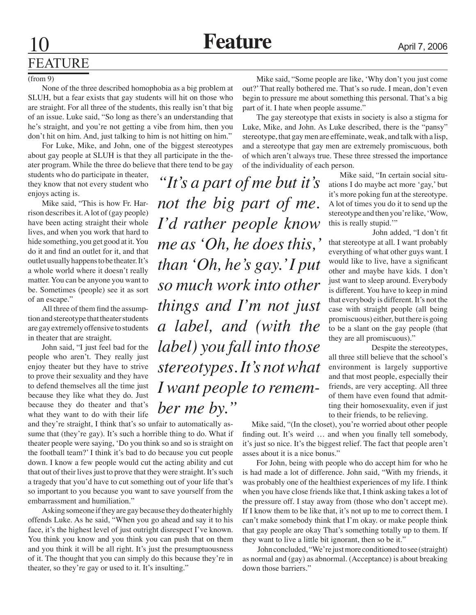# FEATURE

#### (from 9)

None of the three described homophobia as a big problem at SLUH, but a fear exists that gay students will hit on those who are straight. For all three of the students, this really isn't that big of an issue. Luke said, "So long as there's an understanding that he's straight, and you're not getting a vibe from him, then you don't hit on him. And, just talking to him is not hitting on him."

For Luke, Mike, and John, one of the biggest stereotypes about gay people at SLUH is that they all participate in the theater program. While the three do believe that there tend to be gay

students who do participate in theater, they know that not every student who enjoys acting is.

Mike said, "This is how Fr. Harrison describes it. A lot of (gay people) have been acting straight their whole lives, and when you work that hard to hide something, you get good at it. You do it and find an outlet for it, and that outlet usually happens to be theater. It's a whole world where it doesn't really matter. You can be anyone you want to be. Sometimes (people) see it as sort of an escape."

All three of them find the assumption and stereotype that theater students are gay extremely offensive to students in theater that are straight.

John said, "I just feel bad for the people who aren't. They really just enjoy theater but they have to strive to prove their sexuality and they have to defend themselves all the time just because they like what they do. Just because they do theater and that's what they want to do with their life

and they're straight, I think that's so unfair to automatically assume that (they're gay). It's such a horrible thing to do. What if theater people were saying, 'Do you think so and so is straight on the football team?' I think it's bad to do because you cut people down. I know a few people would cut the acting ability and cut that out of their lives just to prove that they were straight. It's such a tragedy that you'd have to cut something out of your life that's so important to you because you want to save yourself from the embarrassment and humiliation."

Asking someone if they are gay because they do theater highly offends Luke. As he said, "When you go ahead and say it to his face, it's the highest level of just outright disrespect I've known. You think you know and you think you can push that on them and you think it will be all right. It's just the presumptuousness of it. The thought that you can simply do this because they're in theater, so they're gay or used to it. It's insulting."

Mike said, "Some people are like, 'Why don't you just come out?' That really bothered me. That's so rude. I mean, don't even begin to pressure me about something this personal. That's a big part of it. I hate when people assume."

The gay stereotype that exists in society is also a stigma for Luke, Mike, and John. As Luke described, there is the "pansy" stereotype, that gay men are effeminate, weak, and talk with a lisp, and a stereotype that gay men are extremely promiscuous, both of which aren't always true. These three stressed the importance of the individuality of each person.

*"It's a part of me but it's not the big part of me. I'd rather people know me as 'Oh, he does this,' than 'Oh, he's gay.' I put so much work into other things and I'm not just a label, and (with the label) you fall into those stereotypes. It's not what I want people to remember me by."*

 Mike said, "In certain social situations I do maybe act more 'gay,' but it's more poking fun at the stereotype. A lot of times you do it to send up the stereotype and then you're like, 'Wow, this is really stupid.'"

 John added, "I don't fit that stereotype at all. I want probably everything of what other guys want. I would like to live, have a significant other and maybe have kids. I don't just want to sleep around. Everybody is different. You have to keep in mind that everybody is different. It's not the case with straight people (all being promiscuous) either, but there is going to be a slant on the gay people (that they are all promiscuous)."

 Despite the stereotypes, all three still believe that the school's environment is largely supportive and that most people, especially their friends, are very accepting. All three of them have even found that admitting their homosexuality, even if just to their friends, to be relieving.

 Mike said, "(In the closet), you're worried about other people finding out. It's weird ... and when you finally tell somebody, it's just so nice. It's the biggest relief. The fact that people aren't asses about it is a nice bonus."

For John, being with people who do accept him for who he is had made a lot of difference. John said, "With my friends, it was probably one of the healthiest experiences of my life. I think when you have close friends like that, I think asking takes a lot of the pressure off. I stay away from (those who don't accept me). If I know them to be like that, it's not up to me to correct them. I can't make somebody think that I'm okay. or make people think that gay people are okay That's something totally up to them. If they want to live a little bit ignorant, then so be it."

 John concluded, "We're just more conditioned to see (straight) as normal and (gay) as abnormal. (Acceptance) is about breaking down those barriers."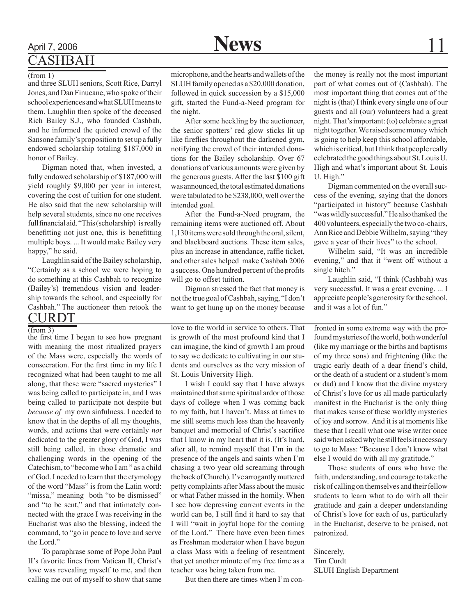### April 7, 2006 **News** 11 **CASHBAH**

#### (from 1)

and three SLUH seniors, Scott Rice, Darryl Jones, and Dan Finucane, who spoke of their school experiences and what SLUH means to them. Laughlin then spoke of the deceased Rich Bailey S.J., who founded Cashbah, and he informed the quieted crowd of the Sansone family's proposition to set up a fully endowed scholarship totaling \$187,000 in honor of Bailey.

Digman noted that, when invested, a fully endowed scholarship of \$187,000 will yield roughly \$9,000 per year in interest, covering the cost of tuition for one student. He also said that the new scholarship will help several students, since no one receives full financial aid. "This (scholarship) is really benefitting not just one, this is benefitting multiple boys. ... It would make Bailey very happy," he said.

Laughlin said of the Bailey scholarship, "Certainly as a school we were hoping to do something at this Cashbah to recognize (Bailey's) tremendous vision and leadership towards the school, and especially for Cashbah." The auctioneer then retook the  $\frac{\text{CURDT}}{\text{(from 3)}}$ 

the first time I began to see how pregnant with meaning the most ritualized prayers of the Mass were, especially the words of consecration. For the first time in my life I recognized what had been taught to me all along, that these were "sacred mysteries" I was being called to participate in, and I was being called to participate not despite but *because of* my own sinfulness. I needed to know that in the depths of all my thoughts, words, and actions that were certainly *not*  dedicated to the greater glory of God, I was still being called, in those dramatic and challenging words in the opening of the Catechism, to "become who I am " as a child of God. I needed to learn that the etymology of the word "Mass" is from the Latin word: "missa," meaning both "to be dismissed" and "to be sent," and that intimately connected with the grace I was receiving in the Eucharist was also the blessing, indeed the command, to "go in peace to love and serve the Lord."

To paraphrase some of Pope John Paul II's favorite lines from Vatican II, Christ's love was revealing myself to me, and then calling me out of myself to show that same

microphone, and the hearts and wallets of the SLUH family opened as a \$20,000 donation, followed in quick succession by a \$15,000 gift, started the Fund-a-Need program for the night.

 After some heckling by the auctioneer, the senior spotters' red glow sticks lit up like fireflies throughout the darkened gym, notifying the crowd of their intended donations for the Bailey scholarship. Over 67 donations of various amounts were given by the generous guests. After the last \$100 gift was announced, the total estimated donations were tabulated to be \$238,000, well over the intended goal.

After the Fund-a-Need program, the remaining items were auctioned off. About 1,130 items were sold through the oral, silent, and blackboard auctions. These item sales, plus an increase in attendance, raffle ticket, and other sales helped make Cashbah 2006 a success. One hundred percent of the profits will go to offset tuition.

Digman stressed the fact that money is not the true goal of Cashbah, saying, "I don't want to get hung up on the money because

love to the world in service to others. That is growth of the most profound kind that I can imagine, the kind of growth I am proud to say we dedicate to cultivating in our students and ourselves as the very mission of St. Louis University High.

I wish I could say that I have always maintained that same spiritual ardor of those days of college when I was coming back to my faith, but I haven't. Mass at times to me still seems much less than the heavenly banquet and memorial of Christ's sacrifice that I know in my heart that it is. (It's hard, after all, to remind myself that I'm in the presence of the angels and saints when I'm chasing a two year old screaming through the back of Church). I've arrogantly muttered petty complaints after Mass about the music or what Father missed in the homily. When I see how depressing current events in the world can be, I still find it hard to say that I will "wait in joyful hope for the coming of the Lord." There have even been times as Freshman moderator when I have begun a class Mass with a feeling of resentment that yet another minute of my free time as a teacher was being taken from me.

But then there are times when I'm con-

the money is really not the most important part of what comes out of (Cashbah). The most important thing that comes out of the night is (that) I think every single one of our guests and all (our) volunteers had a great night. That's important: (to) celebrate a great night together. We raised some money which is going to help keep this school affordable, which is critical, but I think that people really celebrated the good things about St. Louis U. High and what's important about St. Louis U. High."

Digman commented on the overall success of the evening, saying that the donors "participated in history" because Cashbah "was wildly successful." He also thanked the 400 volunteers, especially the two co-chairs, Ann Rice and Debbie Wilhelm, saying "they gave a year of their lives" to the school.

Wilhelm said, "It was an incredible evening," and that it "went off without a single hitch."

Laughlin said, "I think (Cashbah) was very successful. It was a great evening. ... I appreciate people's generosity for the school, and it was a lot of fun."

fronted in some extreme way with the profound mysteries of the world, both wonderful (like my marriage or the births and baptisms of my three sons) and frightening (like the tragic early death of a dear friend's child, or the death of a student or a student's mom or dad) and I know that the divine mystery of Christ's love for us all made particularly manifest in the Eucharist is the only thing that makes sense of these worldly mysteries of joy and sorrow. And it is at moments like these that I recall what one wise writer once said when asked why he still feels it necessary to go to Mass: "Because I don't know what else I would do with all my gratitude."

Those students of ours who have the faith, understanding, and courage to take the risk of calling on themselves and their fellow students to learn what to do with all their gratitude and gain a deeper understanding of Christ's love for each of us, particularly in the Eucharist, deserve to be praised, not patronized.

Sincerely, Tim Curdt SLUH English Department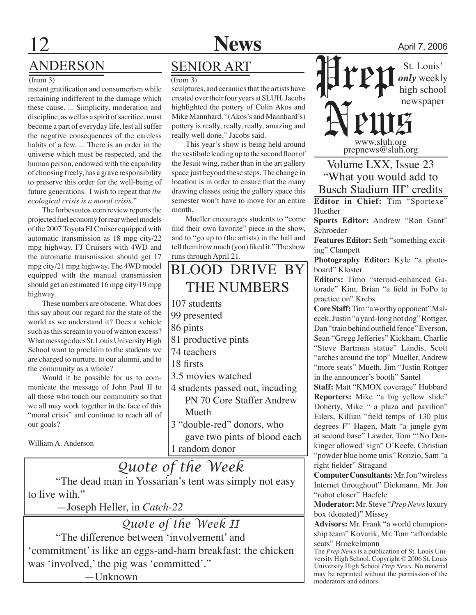

# ANDERSON

#### (from 3)

instant gratification and consumerism while remaining indifferent to the damage which these cause. ... Simplicity, moderation and discipline, as well as a spirit of sacrifice, must become a part of everyday life, lest all suffer the negative consequences of the careless habits of a few. ... There is an order in the universe which must be respected, and the human person, endowed with the capability of choosing freely, has a grave responsibility to preserve this order for the well-being of future generations. I wish to repeat that *the ecological crisis is a moral crisis*."

The forbesautos.com review reports the projected fuel economy for rear wheel models of the 2007 Toyota FJ Cruiser equipped with automatic transmission as 18 mpg city/22 mpg highway. FJ Cruisers with 4WD and the automatic transmission should get 17 mpg city/21 mpg highway. The 4WD model equipped with the manual transmission should get an estimated 16 mpg city/19 mpg highway.

These numbers are obscene. What does this say about our regard for the state of the world as we understand it? Does a vehicle such as this scream to you of wanton excess? What message does St. Louis University High School want to proclaim to the students we are charged to nurture, to our alumni, and to the community as a whole?

Would it be possible for us to communicate the message of John Paul II to all those who touch our community so that we all may work together in the face of this "moral crisis" and continue to reach all of our goals?

William A. Anderson

### **SENIOR ART**

(from 3)

sculptures, and ceramics that the artists have created over their four years at SLUH. Jacobs highlighted the pottery of Colin Akos and Mike Mannhard. "(Akos's and Mannhard's) pottery is really, really, really, amazing and really well done," Jacobs said.

This year's show is being held around the vestibule leading up to the second floor of the Jesuit wing, rather than in the art gallery space just beyond these steps. The change in location is in order to ensure that the many drawing classes using the gallery space this semester won't have to move for an entire month.

Mueller encourages students to "come find their own favorite" piece in the show, and to "go up to (the artists) in the hall and tell them how much (you) liked it." The show runs through April 21.

### BLOOD DRIVE BY THE NUMBERS 107 students 99 presented 86 pints 81 productive pints 74 teachers 18 firsts 3.5 movies watched 4 students passed out, incuding PN 70 Core Staffer Andrew Mueth 3 "double-red" donors, who gave two pints of blood each

1 random donor

*Quote of the Week* "The dead man in Yossarian's tent was simply not easy to live with."

—Joseph Heller, in *Catch-22*

*Quote of the Week II* "The difference between 'involvement' and

'commitment' is like an eggs-and-ham breakfast: the chicken was 'involved,' the pig was 'committed'." —Unknown

*only* weekly high school newspaper

www.sluh.org prepnews@sluh.org

Volume LXX, Issue 23 "What you would add to Busch Stadium III" credits

**Editor in Chief:** Tim "Sportexe" Huether

**Sports Editor:** Andrew "Ron Gant" Schroeder

**Features Editor:** Seth "something exciting" Clampett

**Photography Editor:** Kyle "a photoboard" Kloster

**Editors:** Timo "steroid-enhanced Gatorade" Kim, Brian "a field in FoPo to practice on" Krebs

**Core Staff:** Tim "a worthy opponent" Malecek, Justin "a yard-long hot dog" Rottger, Dan "train behind outfield fence" Everson, Sean "Gregg Jefferies" Kickham, Charlie "Steve Bartman statue" Landis, Scott "arches around the top" Mueller, Andrew "more seats" Mueth, Jim "Justin Rottger in the announcer's booth" Santel

**Staff:** Matt "KMOX coverage" Hubbard **Reporters:** Mike "a big yellow slide" Doherty, Mike " a plaza and pavilion" Eilers, Killian "field temps of 130 plus degrees F" Hagen, Matt "a jungle-gym at second base" Lawder, Tom "'No Denkinger allowed' sign" O'Keefe, Christian "powder blue home unis" Ronzio, Sam "a right fielder" Stragand

**Computer Consultants:** Mr. Jon "wireless Internet throughout" Dickmann, Mr. Jon "robot closer" Haefele

**Moderator:** Mr. Steve "*Prep News* luxury box (donated)" Missey

**Advisors:** Mr. Frank "a world championship team" Kovarik, Mr. Tom "affordable seats" Broekelmann

The *Prep News* is a publication of St. Louis University High School. Copyright © 2006 St. Louis University High School *Prep News*. No material may be reprinted without the permission of the moderators and editors.

St. Louis'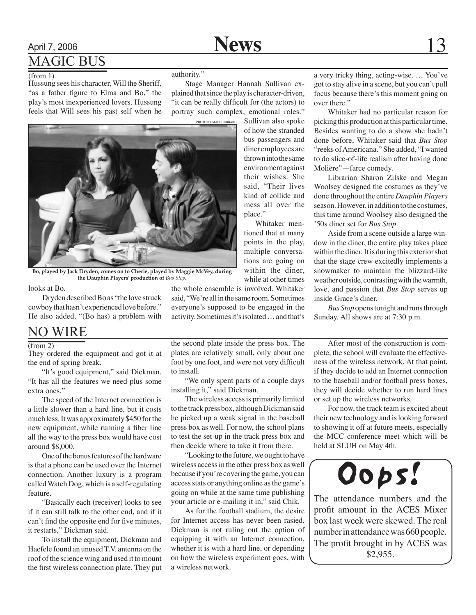### April 7, 2006 **News** 13 Magic bus

#### $(from 1)$

Hussung sees his character, Will the Sheriff, "as a father figure to Elma and Bo," the play's most inexperienced lovers. Hussung feels that Will sees his past self when he authority."

Stage Manager Hannah Sullivan explained that since the play is character-driven, "it can be really difficult for (the actors) to portray such complex, emotional roles."

> Sullivan also spoke of how the stranded bus passengers and diner employees are thrown into the same environment against their wishes. She said, "Their lives kind of collide and mess all over the

Whitaker mentioned that at many points in the play, multiple conversations are going on within the diner, while at other times

place."



**Bo, played by Jack Dryden, comes on to Cherie, played by Maggie McVey, during the Dauphin Players' production of** *Bus Stop.*

looks at Bo.

Dryden described Bo as "the love struck cowboy that hasn't experienced love before." He also added, "(Bo has) a problem with

### NO WIRE

#### (from 2)

They ordered the equipment and got it at the end of spring break.

"It's good equipment," said Dickman. "It has all the features we need plus some extra ones."

The speed of the Internet connection is a little slower than a hard line, but it costs much less. It was approximately \$450 for the new equipment, while running a fiber line all the way to the press box would have cost around \$8,000.

One of the bonus features of the hardware is that a phone can be used over the Internet connection. Another luxury is a program called Watch Dog, which is a self-regulating feature.

"Basically each (receiver) looks to see if it can still talk to the other end, and if it can't find the opposite end for five minutes, it restarts," Dickman said.

To install the equipment, Dickman and Haefele found an unused T.V. antenna on the roof of the science wing and used it to mount the first wireless connection plate. They put

the second plate inside the press box. The plates are relatively small, only about one

the whole ensemble is involved. Whitaker said, "We're all in the same room. Sometimes everyone's supposed to be engaged in the activity. Sometimes it's isolated … and that's

to install. "We only spent parts of a couple days installing it," said Dickman.

foot by one foot, and were not very difficult

The wireless access is primarily limited to the track press box, although Dickman said he picked up a weak signal in the baseball press box as well. For now, the school plans to test the set-up in the track press box and then decide where to take it from there.

"Looking to the future, we ought to have wireless access in the other press box as well because if you're covering the game, you can access stats or anything online as the game's going on while at the same time publishing your article or e-mailing it in," said Chik.

As for the football stadium, the desire for Internet access has never been rasied. Dickman is not ruling out the option of equipping it with an Internet connection, whether it is with a hard line, or depending on how the wireless experiment goes, with a wireless network.

a very tricky thing, acting-wise. … You've got to stay alive in a scene, but you can't pull focus because there's this moment going on over there."

Whitaker had no particular reason for picking this production at this particular time. Besides wanting to do a show she hadn't done before, Whitaker said that *Bus Stop* "reeks of Americana." She added, "I wanted to do slice-of-life realism after having done Molière"—farce comedy.

Librarian Sharon Zilske and Megan Woolsey designed the costumes as they've done throughout the entire *Dauphin Players*  season. However, in addition to the costumes, this time around Woolsey also designed the '50s diner set for *Bus Stop*.

Aside from a scene outside a large window in the diner, the entire play takes place within the diner. It is during this exterior shot that the stage crew excitedly implements a snowmaker to maintain the blizzard-like weather outside, contrasting with the warmth, love, and passion that *Bus Stop* serves up inside Grace's diner.

*Bus Stop* opens tonight and runs through Sunday. All shows are at 7:30 p.m.

After most of the construction is complete, the school will evaluate the effectiveness of the wireless network. At that point, if they decide to add an Internet connection to the baseball and/or football press boxes, they will decide whether to run hard lines or set up the wireless networks.

For now, the track team is excited about their new technology and is looking forward to showing it off at future meets, especially the MCC conference meet which will be held at SLUH on May 4th.

# Oops!

The attendance numbers and the profit amount in the ACES Mixer box last week were skewed. The real number in attendance was 660 people. The profit brought in by ACES was \$2,955.